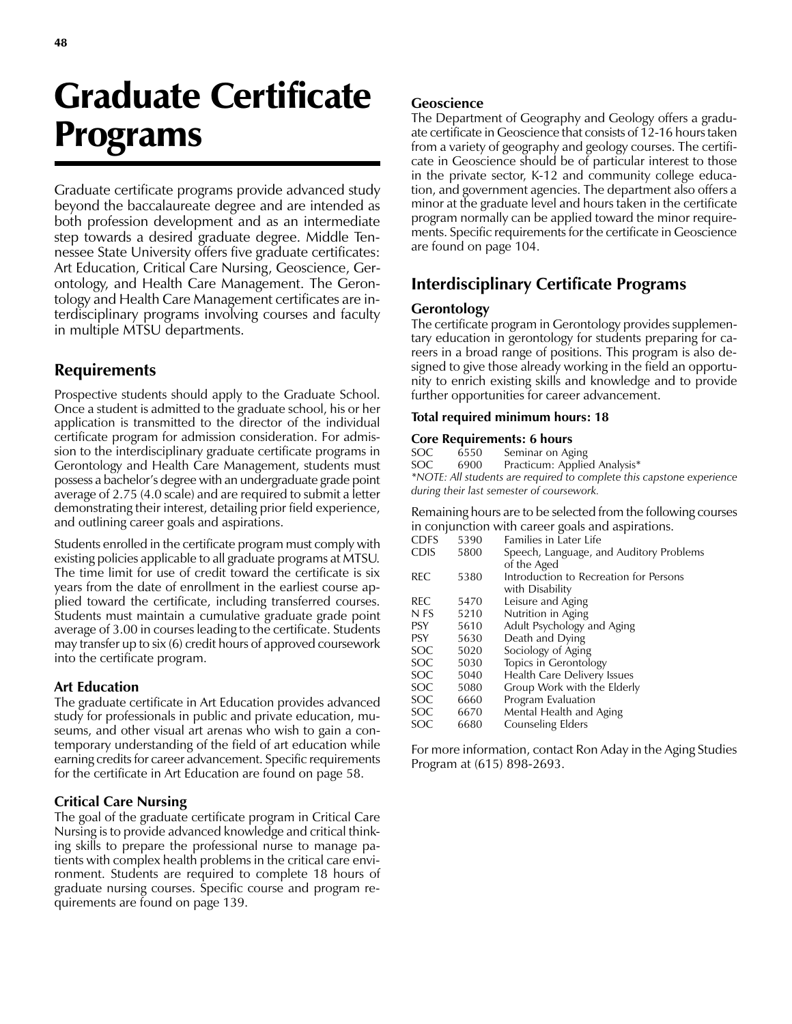# Graduate Certificate Programs

Graduate certificate programs provide advanced study beyond the baccalaureate degree and are intended as both profession development and as an intermediate step towards a desired graduate degree. Middle Tennessee State University offers five graduate certificates: Art Education, Critical Care Nursing, Geoscience, Gerontology, and Health Care Management. The Gerontology and Health Care Management certificates are interdisciplinary programs involving courses and faculty in multiple MTSU departments.

# Requirements

Prospective students should apply to the Graduate School. Once a student is admitted to the graduate school, his or her application is transmitted to the director of the individual certificate program for admission consideration. For admission to the interdisciplinary graduate certificate programs in Gerontology and Health Care Management, students must possess a bachelor's degree with an undergraduate grade point average of 2.75 (4.0 scale) and are required to submit a letter demonstrating their interest, detailing prior field experience, and outlining career goals and aspirations.

Students enrolled in the certificate program must comply with existing policies applicable to all graduate programs at MTSU. The time limit for use of credit toward the certificate is six years from the date of enrollment in the earliest course applied toward the certificate, including transferred courses. Students must maintain a cumulative graduate grade point average of 3.00 in courses leading to the certificate. Students may transfer up to six (6) credit hours of approved coursework into the certificate program.

## Art Education

The graduate certificate in Art Education provides advanced study for professionals in public and private education, museums, and other visual art arenas who wish to gain a contemporary understanding of the field of art education while earning credits for career advancement. Specific requirements for the certificate in Art Education are found on page 58.

## Critical Care Nursing

The goal of the graduate certificate program in Critical Care Nursing is to provide advanced knowledge and critical thinking skills to prepare the professional nurse to manage patients with complex health problems in the critical care environment. Students are required to complete 18 hours of graduate nursing courses. Specific course and program requirements are found on page 139.

## Geoscience

The Department of Geography and Geology offers a graduate certificate in Geoscience that consists of 12-16 hours taken from a variety of geography and geology courses. The certificate in Geoscience should be of particular interest to those in the private sector, K-12 and community college education, and government agencies. The department also offers a minor at the graduate level and hours taken in the certificate program normally can be applied toward the minor requirements. Specific requirements for the certificate in Geoscience are found on page 104.

# Interdisciplinary Certificate Programs

## **Gerontology**

The certificate program in Gerontology provides supplementary education in gerontology for students preparing for careers in a broad range of positions. This program is also designed to give those already working in the field an opportunity to enrich existing skills and knowledge and to provide further opportunities for career advancement.

#### Total required minimum hours: 18

#### Core Requirements: 6 hours

| SOC.                                                                  | 6550 | Seminar on Aging             |  |  |  |  |
|-----------------------------------------------------------------------|------|------------------------------|--|--|--|--|
| SOC                                                                   | 6900 | Practicum: Applied Analysis* |  |  |  |  |
| *NOTE: All students are required to complete this capstone experience |      |                              |  |  |  |  |
| during their last semester of coursework.                             |      |                              |  |  |  |  |

Remaining hours are to be selected from the following courses in conjunction with career goals and aspirations.

|             |      | $\mu$ compared on when career goals and aspirations. |
|-------------|------|------------------------------------------------------|
| <b>CDFS</b> | 5390 | Families in Later Life                               |
| <b>CDIS</b> | 5800 | Speech, Language, and Auditory Problems              |
|             |      | of the Aged                                          |
| REC         | 5380 | Introduction to Recreation for Persons               |
|             |      | with Disability                                      |
| REC         | 5470 | Leisure and Aging                                    |
| N FS        | 5210 | Nutrition in Aging                                   |
| <b>PSY</b>  | 5610 | Adult Psychology and Aging                           |
| <b>PSY</b>  | 5630 | Death and Dying                                      |
| SOC.        | 5020 | Sociology of Aging                                   |
| SOC         | 5030 | Topics in Gerontology                                |
| SOC.        | 5040 | Health Care Delivery Issues                          |
| <b>SOC</b>  | 5080 | Group Work with the Elderly                          |
| SOC         | 6660 | Program Evaluation                                   |
| SOC         | 6670 | Mental Health and Aging                              |
| SOC         | 6680 | <b>Counseling Elders</b>                             |
|             |      |                                                      |

For more information, contact Ron Aday in the Aging Studies Program at (615) 898-2693.